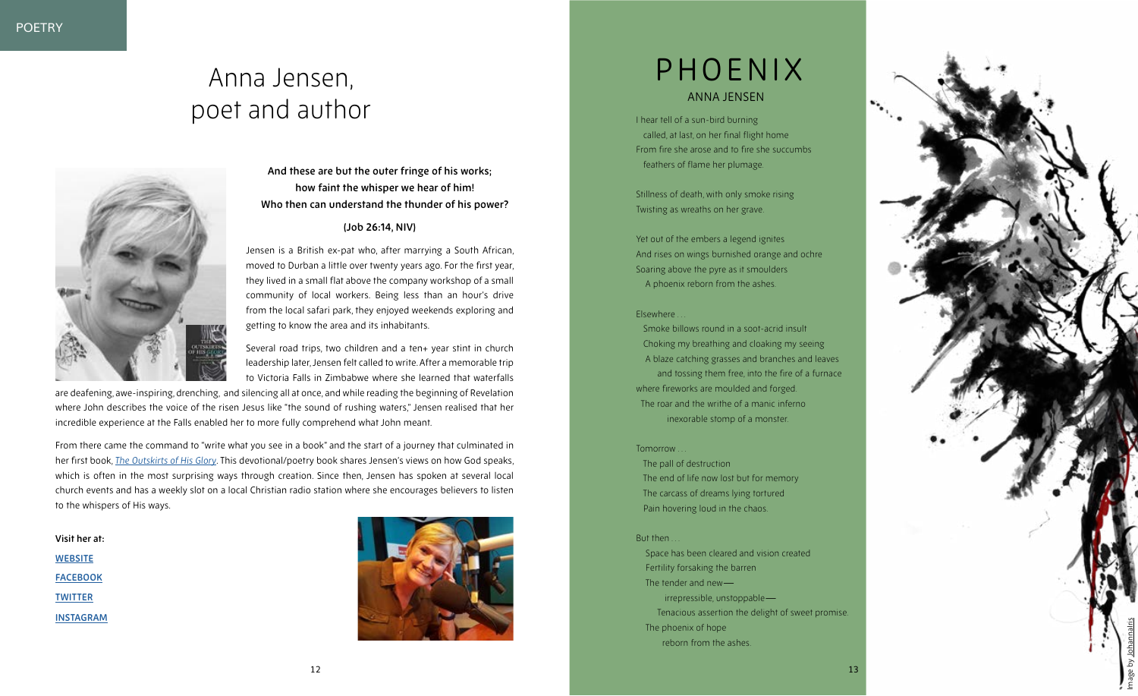

**And these are but the outer fringe of his works; how faint the whisper we hear of him! Who then can understand the thunder of his power?**

### **(Job 26:14, NIV)**

Jensen is a British ex-pat who, after marrying a South African, moved to Durban a little over twenty years ago. For the first year, they lived in a small flat above the company workshop of a small community of local workers. Being less than an hour's drive from the local safari park, they enjoyed weekends exploring and getting to know the area and its inhabitants.

Several road trips, two children and a ten+ year stint in church leadership later, Jensen felt called to write. After a memorable trip to Victoria Falls in Zimbabwe where she learned that waterfalls

# Anna Jensen, poet and author **I hear tell of a sun-bird burning**



are deafening, awe-inspiring, drenching, and silencing all at once, and while reading the beginning of Revelation where John describes the voice of the risen Jesus like "the sound of rushing waters," Jensen realised that her incredible experience at the Falls enabled her to more fully comprehend what John meant.

Yet out of the embers a legend ignites And rises on wings burnished orange and ochre Soaring above the pyre as it smoulders A phoenix reborn from the ashes.

From there came the command to "write what you see in a book" and the start of a journey that culminated in her first book, *[The Outskirts of His Glory](https://amazon.com/Outskirts-His-Glory-Surprising-creation/dp/1788156900)*. This devotional/poetry book shares Jensen's views on how God speaks, which is often in the most surprising ways through creation. Since then, Jensen has spoken at several local church events and has a weekly slot on a local Christian radio station where she encourages believers to listen to the whispers of His ways.

**Visit her at: [WEBSITE](https://www.annajensen.co.uk/) [FACEBOOK](https://www.facebook.com/annaloujensen/) [TWITTER](https://twitter.com/annalouj) [INSTAGRAM](https://www.instagram.com/annaloujens/)**





 called, at last, on her final flight home From fire she arose and to fire she succumbs feathers of flame her plumage.

Stillness of death, with only smoke rising Twisting as wreaths on her grave.

#### Elsewhere . . .

 Smoke billows round in a soot-acrid insult Choking my breathing and cloaking my seeing A blaze catching grasses and branches and leaves and tossing them free, into the fire of a furnace where fireworks are moulded and forged. The roar and the writhe of a manic inferno inexorable stomp of a monster.

#### Tomorrow . . .

 The pall of destruction The end of life now lost but for memory The carcass of dreams lying tortured Pain hovering loud in the chaos.

#### But then.

 Space has been cleared and vision created Fertility forsaking the barren The tender and new irrepressible, unstoppable — Tenacious assertion the delight of sweet promise. The phoenix of hope reborn from the ashes.

## PHOENIX ANNA JENSEN